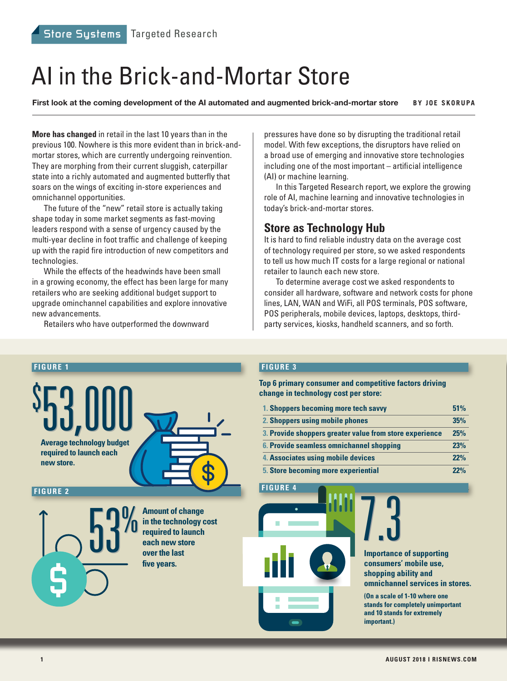# AI in the Brick-and-Mortar Store

**First look at the coming development of the AI automated and augmented brick-and-mortar store BY JOE SKORUPA**

**More has changed** in retail in the last 10 years than in the previous 100. Nowhere is this more evident than in brick-andmortar stores, which are currently undergoing reinvention. They are morphing from their current sluggish, caterpillar state into a richly automated and augmented butterfly that soars on the wings of exciting in-store experiences and omnichannel opportunities.

The future of the "new" retail store is actually taking shape today in some market segments as fast-moving leaders respond with a sense of urgency caused by the multi-year decline in foot traffic and challenge of keeping up with the rapid fire introduction of new competitors and technologies.

While the effects of the headwinds have been small in a growing economy, the effect has been large for many retailers who are seeking additional budget support to upgrade ominchannel capabilities and explore innovative new advancements.

Retailers who have outperformed the downward

pressures have done so by disrupting the traditional retail model. With few exceptions, the disruptors have relied on a broad use of emerging and innovative store technologies including one of the most important – artificial intelligence (AI) or machine learning.

In this Targeted Research report, we explore the growing role of AI, machine learning and innovative technologies in today's brick-and-mortar stores.

#### **Store as Technology Hub**

It is hard to find reliable industry data on the average cost of technology required per store, so we asked respondents to tell us how much IT costs for a large regional or national retailer to launch each new store.

To determine average cost we asked respondents to consider all hardware, software and network costs for phone lines, LAN, WAN and WiFi, all POS terminals, POS software, POS peripherals, mobile devices, laptops, desktops, thirdparty services, kiosks, handheld scanners, and so forth.



#### **FIGURE 3**

**Top 6 primary consumer and competitive factors driving change in technology cost per store:**

| 1. Shoppers becoming more tech savvy                    | 51% |
|---------------------------------------------------------|-----|
| 2. Shoppers using mobile phones                         | 35% |
| 3. Provide shoppers greater value from store experience | 25% |
| 6. Provide seamless omnichannel shopping                | 23% |
| 4. Associates using mobile devices                      | 22% |
| <b>5. Store becoming more experiential</b>              | 22% |

**FIGURE** 



**Importance of supporting consumers' mobile use, shopping ability and omnichannel services in stores.** 

**(On a scale of 1-10 where one stands for completely unimportant and 10 stands for extremely important.)**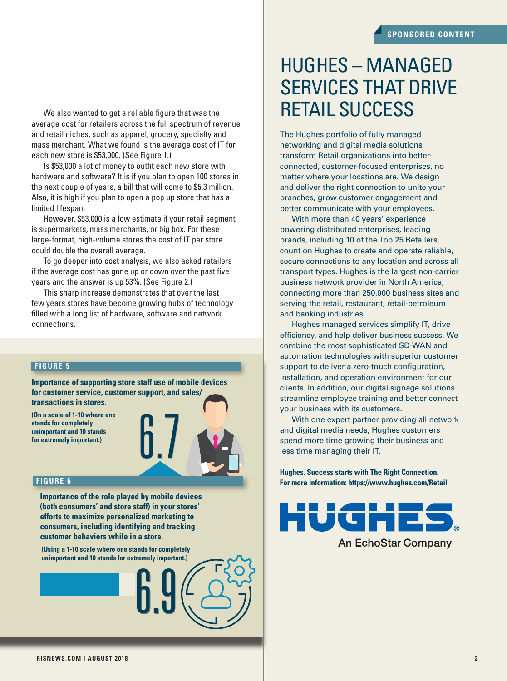We also wanted to get a reliable figure that was the average cost for retailers across the full spectrum of revenue and retail niches, such as apparel, grocery, specialty and mass merchant. What we found is the average cost of IT for each new store is \$53,000. (See Figure 1.)

Is \$53,000 a lot of money to outfit each new store with hardware and software? It is if you plan to open 100 stores in the next couple of years, a bill that will come to \$5.3 million. Also, it is high if you plan to open a pop up store that has a limited lifespan.

However, \$53,000 is a low estimate if your retail segment is supermarkets, mass merchants, or big box. For these large-format, high-volume stores the cost of IT per store could double the overall average.

To go deeper into cost analysis, we also asked retailers if the average cost has gone up or down over the past five years and the answer is up 53%. (See Figure 2.)

This sharp increase demonstrates that over the last few years stores have become growing hubs of technology filled with a long list of hardware, software and network connections.

#### **FIGURE 5**

**Importance of supporting store staff use of mobile devices for customer service, customer support, and sales/ transactions in stores.**

**(On a scale of 1-10 where one stands for completely unimportant and 10 stands for extremely important.)**



#### **FIGURE 6**

**Importance of the role played by mobile devices (both consumers' and store staff) in your stores' efforts to maximize personalized marketing to consumers, including identifying and tracking customer behaviors while in a store.**

 **(Using a 1-10 scale where one stands for completely unimportant and 10 stands for extremely important.)** 6.9

## HUGHES – MANAGED SERVICES THAT DRIVE RETAIL SUCCESS

The Hughes portfolio of fully managed networking and digital media solutions transform Retail organizations into betterconnected, customer-focused enterprises, no matter where your locations are. We design and deliver the right connection to unite your branches, grow customer engagement and better communicate with your employees.

With more than 40 years' experience powering distributed enterprises, leading brands, including 10 of the Top 25 Retailers, count on Hughes to create and operate reliable, secure connections to any location and across all transport types. Hughes is the largest non-carrier business network provider in North America, connecting more than 250,000 business sites and serving the retail, restaurant, retail-petroleum and banking industries.

Hughes managed services simplify IT, drive efficiency, and help deliver business success. We combine the most sophisticated SD-WAN and automation technologies with superior customer support to deliver a zero-touch configuration, installation, and operation environment for our clients. In addition, our digital signage solutions streamline employee training and better connect your business with its customers.

With one expert partner providing all network and digital media needs, Hughes customers spend more time growing their business and less time managing their IT.

**Hughes. Success starts with The Right Connection. For more information: https://www.hughes.com/Retail**

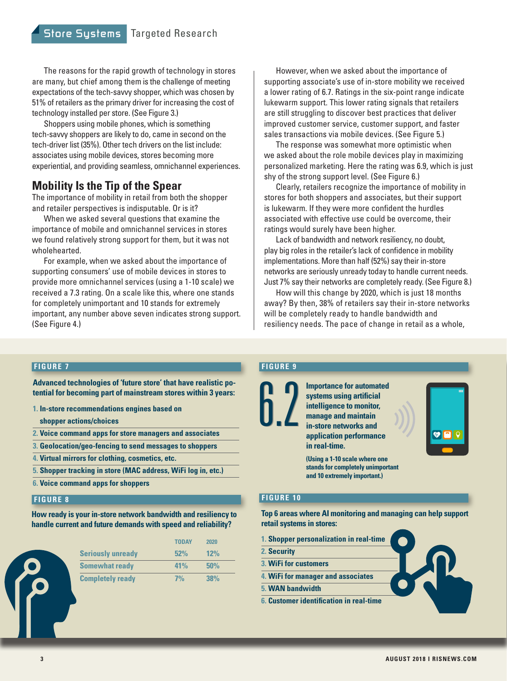The reasons for the rapid growth of technology in stores are many, but chief among them is the challenge of meeting expectations of the tech-savvy shopper, which was chosen by 51% of retailers as the primary driver for increasing the cost of technology installed per store. (See Figure 3.)

Shoppers using mobile phones, which is something tech-savvy shoppers are likely to do, came in second on the tech-driver list (35%). Other tech drivers on the list include: associates using mobile devices, stores becoming more experiential, and providing seamless, omnichannel experiences.

## **Mobility Is the Tip of the Spear**

The importance of mobility in retail from both the shopper and retailer perspectives is indisputable. Or is it?

When we asked several questions that examine the importance of mobile and omnichannel services in stores we found relatively strong support for them, but it was not wholehearted.

For example, when we asked about the importance of supporting consumers' use of mobile devices in stores to provide more omnichannel services (using a 1-10 scale) we received a 7.3 rating. On a scale like this, where one stands for completely unimportant and 10 stands for extremely important, any number above seven indicates strong support. (See Figure 4.)

However, when we asked about the importance of supporting associate's use of in-store mobility we received a lower rating of 6.7. Ratings in the six-point range indicate lukewarm support. This lower rating signals that retailers are still struggling to discover best practices that deliver improved customer service, customer support, and faster sales transactions via mobile devices. (See Figure 5.)

The response was somewhat more optimistic when we asked about the role mobile devices play in maximizing personalized marketing. Here the rating was 6.9, which is just shy of the strong support level. (See Figure 6.)

Clearly, retailers recognize the importance of mobility in stores for both shoppers and associates, but their support is lukewarm. If they were more confident the hurdles associated with effective use could be overcome, their ratings would surely have been higher.

Lack of bandwidth and network resiliency, no doubt, play big roles in the retailer's lack of confidence in mobility implementations. More than half (52%) say their in-store networks are seriously unready today to handle current needs. Just 7% say their networks are completely ready. (See Figure 8.)

How will this change by 2020, which is just 18 months away? By then, 38% of retailers say their in-store networks will be completely ready to handle bandwidth and resiliency needs. The pace of change in retail as a whole,

#### **FIGURE 7**

**Advanced technologies of 'future store' that have realistic potential for becoming part of mainstream stores within 3 years:**

- **1. In-store recommendations engines based on** 
	- **shopper actions/choices**
- **2. Voice command apps for store managers and associates**
- **3. Geolocation/geo-fencing to send messages to shoppers**
- **4. Virtual mirrors for clothing, cosmetics, etc.**
- **5. Shopper tracking in store (MAC address, WiFi log in, etc.)**
- **6. Voice command apps for shoppers**

**How ready is your in-store network bandwidth and resiliency to handle current and future demands with speed and reliability?**

|                          | <b>TODAY</b> | 2020       |  |
|--------------------------|--------------|------------|--|
| <b>Seriously unready</b> | 52%          | 12%        |  |
| <b>Somewhat ready</b>    | 41%          | 50%<br>38% |  |
| <b>Completely ready</b>  | 7%           |            |  |

#### **FIGURE 9**

6.2

6.2

**Importance for automated systems using artificial intelligence to monitor, manage and maintain in-store networks and application performance in real-time.**

**(Using a 1-10 scale where one** 

**stands for completely unimportant and 10 extremely important.)**

#### **FIGURE 10 FIGURE 8**

**Top 6 areas where AI monitoring and managing can help support retail systems in stores:**

- **1. Shopper personalization in real-time**
- **2. Security**
- **3. WiFi for customers**
- **4. WiFi for manager and associates**
- **5. WAN bandwidth**
- **6. Customer identification in real-time**